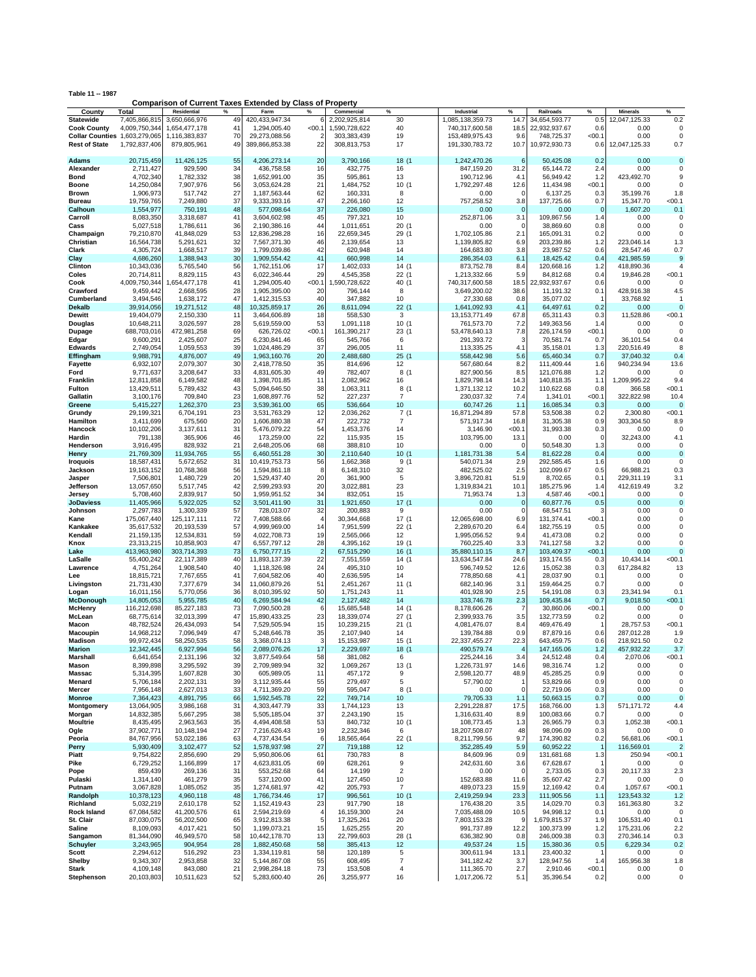| Table 11 -- 1987 |
|------------------|
|------------------|

**Comparison of Current Taxes Extended by Class of Property**

| County                        | Total                    | Residential             | %        | Farm                         | %              | Commercial                | %                    | Industrial                  | %                  | Railroads                | %             | <b>Minerals</b>          | %                    |
|-------------------------------|--------------------------|-------------------------|----------|------------------------------|----------------|---------------------------|----------------------|-----------------------------|--------------------|--------------------------|---------------|--------------------------|----------------------|
| <b>Statewide</b>              | 7,405,866,815            | 3,650,666,976           | 49       | 420, 433, 947. 34            | 6              | 2,202,925,814             | 30                   | 1,085,138,359.73            | 14.7               | 34,654,593.77            | 0.5           | 12,047,125.33            | 0.2                  |
| <b>Cook County</b>            | 4,009,750,344            | 1,654,477,178           | 41       | 1,294,005.40                 | < 00.1         | 1,590,728,622             | 40                   | 740,317,600.58              | 18.5               | 22,932,937.67            | 0.6           | 0.00                     | $\Omega$             |
| Collar Counties 1,603,279,065 |                          | 1,116,383,837           | 70       | 29,273,088.56                | 2              | 303,383,439               | 19                   | 153,489,975.43              | 9.6                | 748,725.37               | $00.1$        | 0.00                     | $\Omega$             |
| <b>Rest of State</b>          | 1,792,837,406            | 879,805,961             | 49       | 389,866,853.38               | 22             | 308,813,753               | 17                   | 191,330,783.72              | 10.7               | 10,972,930.73            | 0.6           | 12,047,125.33            | 0.7                  |
|                               |                          |                         |          |                              |                |                           |                      |                             |                    |                          |               |                          |                      |
| Adams                         | 20,715,459               | 11,426,125              | 55       | 4,206,273.14                 | 20             | 3,790,166                 | 18 (1                | 1,242,470.26                | 6                  | 50,425.08                | 0.2           | 0.00                     | $\Omega$             |
| Alexander                     | 2,711,427                | 929,590                 | 34       | 436,758.58                   | 16             | 432,775                   | 16                   | 847,159.20                  | 31.2               | 65,144.72                | 2.4           | 0.00                     | $\Omega$             |
| Bond                          | 4,702,340                | 1,782,332               | 38       | 1,652,991.00                 | 35             | 595,861                   | 13                   | 190,712.96                  | 4.1                | 56,949.42                | 1.2           | 423,492.70               | 9                    |
| Boone                         | 14,250,084               | 7,907,976               | 56       | 3,053,624.28                 | 21             | 1,484,752                 | 10(1)                | 1,792,297.48                | 12.6               | 11,434.98                | $00.1$        | 0.00                     | $\Omega$             |
| Brown                         | 1,906,973                | 517,742                 | 27       | 1,187,563.44                 | 62             | 160,331                   | 8                    | 0.00                        | $\Omega$           | 6,137.25                 | 0.3           | 35.199.76                | 1.8                  |
| Bureau                        | 19,759,765               | 7,249,880               | 37       | 9,333,393.16                 | 47             | 2,266,160                 | 12                   | 757,258.52                  | 3.8                | 137,725.66               | 0.7           | 15,347.70                | < 00.1               |
| Calhoun                       | 1,554,977                | 750,191                 | 48       | 577,098.64                   | 37             | 226,080                   | 15                   | 0.00                        | $\mathbf 0$        | 0.00                     | $\mathbf 0$   | 1,607.20                 | 0.1                  |
| Carroll                       | 8,083,350                | 3,318,687               | 41       | 3,604,602.98                 | 45             | 797,321                   | 10                   | 252,871.06                  | 3.1<br>$\mathbf 0$ | 109,867.56               | 1.4           | 0.00                     | $\Omega$<br>$\Omega$ |
| Cass                          | 5,027,518                | 1,786,611<br>41.848.029 | 36<br>53 | 2,190,386.16                 | 44             | 1,011,651                 | 20 (1                | 0.00                        |                    | 38,869.60                | 0.8           | 0.00                     | $\Omega$             |
| Champaign<br>Christian        | 79,210,870               |                         | 32       | 12,836,298.28                | 16<br>46       | 22,659,345                | 29 (1<br>13          | 1,702,105.86                | 2.1<br>6.9         | 165,091.31               | 0.2           | 0.00<br>223,046.14       |                      |
|                               | 16,564,738               | 5,291,621               | 39       | 7,567,371.30                 | 42             | 2,139,654<br>620,948      |                      | 1,139,805.82                |                    | 203,239.86               | 1.2           |                          | 1.3<br>0.7           |
| Clark                         | 4,305,724                | 1,668,517               | 30       | 1,799,039.86                 | 41             |                           | 14<br>14             | 164,683.80                  | 3.8<br>6.1         | 23,987.52                | 0.6<br>0.4    | 28,547.46                | 9                    |
| Clay<br>Clinton               | 4,686,260<br>10,343,036  | 1,388,943<br>5,765,540  | 56       | 1,909,554.42<br>1,762,151.06 | 17             | 660,998<br>1,402,033      | 14 (1                | 286,354.03<br>873,752.78    | 8.4                | 18,425.42<br>120,668.16  | 1.2           | 421,985.59<br>418,890.36 | 4                    |
| Coles                         | 20,714,811               | 8,829,115               | 43       | 6,022,346.44                 | 29             | 4,545,358                 | 22(1)                | 1,213,332.66                | 5.9                | 84,812.68                | 0.4           | 19,846.28                | < 00.1               |
| Cook                          | 4,009,750,344            | 1,654,477,178           | 41       | 1,294,005.40                 | < 00.1         | 1,590,728,622             | 40 (1                | 740,317,600.58              | 18.5               | 22,932,937.67            | 0.6           | 0.00                     |                      |
| Crawford                      | 9,459,442                | 2,668,595               | 28       | 1,905,395.00                 | 20             | 796,144                   | 8                    | 3,649,200.02                | 38.6               | 11,191.32                | 0.1           | 428,916.38               | 4.5                  |
| Cumberland                    | 3,494,546                | 1,638,172               | 47       | 1,412,315.53                 | 40             | 347,882                   | 10                   | 27,330.68                   | 0.8                | 35,077.02                | -1            | 33,768.92                |                      |
| Dekalb                        | 39,914,056               | 19,271,512              | 48       | 10,325,859.17                | 26             | 8,611,094                 | 22(1)                | 1,641,092.93                | 4.1                | 64,497.61                | 0.2           | 0.00                     | ∩                    |
| Dewitt                        | 19,404,079               | 2,150,330               | 11       | 3,464,606.89                 | 18             | 558,530                   | 3                    | 13, 153, 771.49             | 67.8               | 65,311.43                | 0.3           | 11,528.86                | < 00.1               |
| Douglas                       | 10,648,211               | 3,026,597               | 28       | 5,619,559.00                 | 53             | 1,091,118                 | 10(1)                | 761,573.70                  | 7.2                | 149,363.56               | 1.4           | 0.00                     |                      |
| Dupage                        | 688,703,016              | 472,981,258             | 69       | 626,726.02                   | < 00.1         | 161,390,217               | 23 (1                | 53,478,640.13               | 7.8                | 226,174.59               | $00.1$        | 0.00                     | $\Omega$             |
| Edgar                         | 9,600,291                | 2,425,607               | 25       | 6,230,841.46                 | 65             | 545,766                   | 6                    | 291,393.72                  | 3                  | 70,581.74                | 0.7           | 36,101.54                | 0.4                  |
| <b>Edwards</b>                | 2,749,054                | 1,059,553               | 39       | 1,024,486.29                 | 37             | 296,005                   | 11                   | 113,335.25                  | 4.1                | 35,158.01                | 1.3           | 220,516.49               |                      |
| Effingham                     | 9,988,791                | 4,876,007               | 49       | 1,963,160.76                 | 20             | 2,488,680                 | 25(1)                | 558,442.98                  | 5.6                | 65,460.34                | 0.7           | 37,040.32                | 0.4                  |
| Fayette                       | 6,932,107                | 2,079,307               | 30       | 2,418,778.50                 | 35             | 814,696                   | 12                   | 567,680.64                  | 8.2                | 111,409.44               | 1.6           | 940,234.94               | 13.6                 |
| Ford                          | 9,771,637                | 3,208,647               | 33       | 4,831,605.30                 | 49             | 782,407                   | 8(1)                 | 827,900.56                  | 8.5                | 121,076.88               | 1.2           | 0.00                     | $\Omega$             |
| Franklin                      | 12,811,858               | 6,149,582               | 48       | 1,398,701.85                 | 11             | 2,082,962                 | 16                   | 1,829,798.14                | 14.3               | 140,818.35               | 1.1           | 1,209,995.22             | 9.4                  |
| Fulton                        | 13,429,511               | 5,789,432               | 43       | 5,094,646.50                 | 38             | 1,063,311                 | 8(1)                 | 1,371,132.12                | 10.2               | 110,622.68               | 0.8           | 366.58                   | < 00.1               |
| Gallatin                      | 3,100,176                | 709,840                 | 23       | 1,608,897.76                 | 52             | 227,237                   | $\overline{7}$       | 230.037.32                  | 7.4                | 1,341.01                 | $00.1$        | 322.822.98               | 10.4                 |
| Greene                        | 5,415,227                | 1,262,370               | 23       | 3,539,361.00                 | 65             | 536,664                   | 10                   | 60,747.26                   | 1.1                | 16,085.34                | 0.3           | 0.00                     |                      |
| Grundy                        | 29,199,321               | 6,704,191               | 23       | 3,531,763.29                 | 12             | 2,036,262                 | 7(1                  | 16,871,294.89               | 57.8               | 53,508.38                | 0.2           | 2,300.80                 | $00.1$               |
| Hamilton                      | 3,411,699                | 675,560                 | 20       | 1,606,880.38                 | 47             | 222,732                   | $\overline{7}$       | 571,917.34                  | 16.8               | 31,305.38                | 0.9           | 303.304.50               | 8.9                  |
| Hancock                       | 10,102,206               | 3,137,611               | 31       | 5,476,079.22                 | 54             | 1,453,376                 | 14                   | 3,146.90                    | $00.1$             | 31,993.38                | 0.3           | 0.00                     | ∩                    |
| Hardin                        | 791,138                  | 365,906                 | 46       | 173,259.00                   | 22             | 115,935                   | 15                   | 103,795.00                  | 13.1               | 0.00                     | $\mathbf 0$   | 32.243.00                | 4.1                  |
| Henderson                     | 3,916,495                | 828,932                 | 21       | 2,648,205.06                 | 68             | 388,810                   | 10                   | 0.00                        | $\Omega$           | 50.548.30                | 1.3           | 0.00                     | $\Omega$             |
| Henry                         | 21,769,309               | 11,934,765              | 55       | 6,460,551.28                 | 30             | 2,110,640                 | 10(1)                | 1,181,731.38                | 5.4                | 81,622.28                | 0.4           | 0.00                     | $\Omega$             |
| Iroquois                      | 18,587,431               | 5,672,652               | 31       | 10,419,753.73                | 56             | 1,662,368                 | 9(1)                 | 540,071.34                  | 2.9                | 292,585.45               | 1.6           | 0.00                     | $\Omega$             |
| Jackson                       | 19,163,152               | 10,768,368              | 56       | 1,594,861.18                 | 8              | 6,148,310                 | 32                   | 482,525.02                  | 2.5                | 102,099.67               | 0.5           | 66,988.21                | 0.3                  |
| Jasper                        | 7,506,801                | 1,480,729               | 20       | 1,529,437.40                 | 20             | 361,900                   | 5                    | 3,896,720.81                | 51.9               | 8,702.65                 | 0.1           | 229,311.19               | 3.1                  |
| Jefferson                     | 13,057,650               | 5,517,745               | 42<br>50 | 2,599,293.93                 | 20             | 3,022,881                 | 23<br>15             | 1,319,834.21                | 10.1               | 185,275.96               | 1.4           | 412,619.49               | 3.2<br>$\Omega$      |
| Jersey<br><b>JoDaviess</b>    | 5,708,460<br>11,405,966  | 2,839,917<br>5,922,025  | 52       | 1,959,951.52<br>3,501,411.90 | 34<br>31       | 832,051<br>1,921,650      | 17(1                 | 71,953.74<br>0.00           | 1.3<br>$\mathbf 0$ | 4,587.46<br>60,877.76    | $00.1$<br>0.5 | 0.00<br>0.00             | $\Omega$             |
| Johnson                       | 2,297,783                | 1,300,339               | 57       | 728,013.07                   | 32             | 200,883                   | 9                    | 0.00                        | $\mathbf 0$        | 68,547.51                | G             | 0.00                     | O                    |
| Kane                          | 175,067,440              | 125,117,111             | 72       | 7,408,588.66                 | 4              | 30,344,668                | 17(1                 | 12,065,698.00               | 6.9                | 131,374.41               | $00.1$        | 0.00                     | $\Omega$             |
| Kankakee                      | 35,617,532               | 20,193,539              | 57       | 4,999,969.00                 | 14             | 7,951,599                 | 22(1)                | 2,289,670.20                | 6.4                | 182,755.19               | 0.5           | 0.00                     | $\Omega$             |
| Kendall                       | 21,159,135               | 12,534,831              | 59       | 4,022,708.73                 | 19             | 2,565,066                 | 12                   | 1,995,056.52                | 9.4                | 41,473.08                | 0.2           | 0.00                     | $\Omega$             |
| Knox                          | 23,313,215               | 10,858,903              | 47       | 6,557,797.12                 | 28             | 4,395,162                 | 19 (1                | 760,225.40                  | 3.3                | 741,127.58               | 3.2           | 0.00                     |                      |
| Lake                          | 413,963,980              | 303,714,393             | 73       | 6,750,777.15                 | $\overline{2}$ | 67,515,290                | 16 (1                | 35,880,110.15               | 8.7                | 103,409.37               | <00.1         | 0.00                     |                      |
| LaSalle                       | 55,400,242               | 22,117,389              | 40       | 11,893,137.39                | 22             | 7,551,559                 | 14(1)                | 13,634,547.84               | 24.6               | 193,174.55               | 0.3           | 10,434.14                | < 00.1               |
| Lawrence                      | 4,751,264                | 1,908,540               | 40       | 1,118,326.98                 | 24             | 495,310                   | 10                   | 596,749.52                  | 12.6               | 15,052.38                | 0.3           | 617,284.82               | 13                   |
| Lee                           | 18,815,721               | 7,767,655               | 41       | 7,604,582.06                 | 40             | 2,636,595                 | 14                   | 778,850.68                  | 4.1                | 28,037.90                | 0.1           | 0.00                     | $\Omega$             |
| Livingston                    | 21,731,430               | 7,377,679               | 34       | 11,060,879.26                | 51             | 2,451,267                 | 11(1)                | 682,140.96                  | 3.1                | 159,464.25               | 0.7           | 0.00                     | $\Omega$             |
| Logan                         | 16,011,156               | 5,770,056               | 36       | 8,010,395.92                 | 50             | 1,751,243                 | 11                   | 401,928.90                  | 2.5                | 54,191.08                | 0.3           | 23,341.94                | 0.1                  |
| McDonough                     | 14,805,053               | 5,955,785               | 40       | 6,269,584.94                 | 42             | 2,127,482                 | 14                   | 333,746.78                  | 2.3                | 109,435.84               | 0.7           | 9,018.50                 | < 00.1               |
| McHenry                       | 116,212,698              | 85,227,183              | 73       | 7,090,500.28                 | 6              | 15,685,548                | 14(1)                | 8,178,606.26                | 7                  | 30,860.06                | < 00.1        | 0.00                     | 0                    |
| McLean                        | 68,775,614               | 32,013,399              | 47       | 15,890,433.25                | 23             | 18,339,074                | 27 (1                | 2,399,933.76                | 3.5                | 132,773.59               | 0.2           | 0.00                     | $\Omega$             |
| Macon                         | 48,782,524               | 26,434,093              | 54       | 7,529,505.94                 | 15             | 10,239,215                | 21(1)                | 4,081,476.07                | 8.4                | 469,476.49               |               | 28,757.53                | < 00.1               |
| Macoupin                      | 14,968,212               | 7,096,949               | 47       | 5,248,646.78                 | 35             | 2,107,940                 | 14                   | 139,784.88                  | 0.9                | 87,879.16                | 0.6           | 287,012.28               | 1.9                  |
| Madison<br>Marion             | 99,972,434<br>12,342,445 | 58,250,535<br>6,927,994 | 58<br>56 | 3,368,074.13<br>2,089,076.26 | 3<br>17        | 15, 153, 987<br>2,229,697 | 15 (1<br>18 (1       | 22,337,455.27<br>490,579.74 | 22.3               | 643,459.75<br>147,165.06 | 0.6<br>1.2    | 218,921.50<br>457,932.22 | 0.2<br>3.7           |
| Marshall                      | 6,641,654                | 2,131,196               | 32       | 3,877,549.64                 | 58             | 381,082                   | 6                    | 225,244.16                  | 3.4                | 24,512.48                | 0.4           | 2,070.06                 | < 00.1               |
| Mason                         | 8,399,898                | 3,295,592               | 39       | 2,709,989.94                 | 32             | 1,069,267                 | 13(1)                | 1,226,731.97                | 14.6               | 98,316.74                | 1.2           | 0.00                     | 0                    |
| Massac                        | 5,314,395                | 1,607,828               | 30       | 605,989.05                   | 11             | 457,172                   | 9                    | 2,598,120.77                | 48.9               | 45,285.25                | 0.9           | 0.00                     | 0                    |
| Menard                        | 5,706,184                | 2,202,131               | 39       | 3,112,935.44                 | 55             | 279,497                   | 5                    | 57,790.02                   | $\overline{1}$     | 53,829.66                | 0.9           | 0.00                     | 0                    |
| Mercer                        | 7,956,148                | 2,627,013               | 33       | 4,711,369.20                 | 59             | 595,047                   | 8(1                  | 0.00                        | $\mathbf 0$        | 22,719.06                | 0.3           | 0.00                     | $\mathbf 0$          |
| Monroe                        | 7,364,423                | 4,891,795               | 66       | 1,592,545.78                 | 22             | 749,714                   | 10                   | 79,705.33                   | 1.1                | 50,663.15                | 0.7           | 0.00                     | $\mathbf 0$          |
| Montgomery                    | 13,064,905               | 3,986,168               | 31       | 4,303,447.79                 | 33             | 1,744,123                 | 13                   | 2,291,228.87                | 17.5               | 168,766.00               | 1.3           | 571,171.72               | 4.4                  |
| Morgan                        | 14,832,385               | 5,667,295               | 38       | 5,505,185.04                 | 37             | 2,243,190                 | 15                   | 1,316,631.40                | 8.9                | 100,083.66               | 0.7           | 0.00                     | $\Omega$             |
| <b>Moultrie</b>               | 8,435,495                | 2,963,563               | 35       | 4,494,408.58                 | 53             | 840,732                   | 10(1)                | 108,773.45                  | 1.3                | 26,965.79                | 0.3           | 1,052.38                 | < 00.1               |
| Ogle                          | 37,902,771               | 10,148,194              | 27       | 7,216,626.43                 | 19             | 2,232,346                 | 6                    | 18,207,508.07               | 48                 | 98,096.09                | 0.3           | 0.00                     | $\Omega$             |
| Peoria                        | 84,767,956               | 53,022,186              | 63       | 4,737,434.54                 | 6              | 18,565,464                | 22(1)                | 8,211,799.56                | 9.7                | 174,390.82               | 0.2           | 56,681.06                | < 00.1               |
| Perry                         | 5,930,409                | 3,102,477               | 52       | 1,578,937.98                 | 27             | 719,188                   | $12 \overline{ }$    | 352,285.49                  | 5.9                | 60,952.22                | -1            | 116,569.01               | $\overline{2}$       |
| Piatt                         | 9,754,822                | 2,856,690               | 29       | 5,950,806.06                 | 61             | 730,783                   | 8                    | 84,609.96                   | 0.9                | 131,681.68               | 1.3           | 250.94                   | <00.1                |
| Pike                          | 6,729,252                | 1,166,899               | 17       | 4,623,831.05                 | 69             | 628,261                   | 9                    | 242,631.60                  | 3.6                | 67,628.67                | -1            | 0.00                     | $\Omega$             |
| Pope                          | 859,439                  | 269,136                 | 31       | 553,252.68                   | 64             | 14,199                    | $\overline{c}$       | 0.00                        | $\Omega$           | 2,733.05                 | 0.3           | 20,117.33                | 2.3                  |
| Pulaski                       | 1,314,140                | 461,279                 | 35<br>35 | 537,120.00                   | 41             | 127,450<br>205,793        | 10<br>$\overline{7}$ | 152,683.88                  | 11.6<br>15.9       | 35,607.42                | 2.7<br>0.4    | 0.00                     | $\Omega$             |
| Putnam<br>Randolph            | 3,067,828<br>10,378,123  | 1,085,052<br>4,960,118  | 48       | 1,274,681.97<br>1,766,734.46 | 42<br>17       | 996,561                   | 10(1)                | 489,073.23<br>2,419,259.94  | 23.3               | 12,169.42<br>111,905.56  | 1.1           | 1,057.67<br>123,543.32   | < 00.1<br>1.2        |
| Richland                      | 5,032,219                | 2,610,178               | 52       | 1,152,419.43                 | 23             | 917,790                   | 18                   | 176,438.20                  | 3.5                | 14,029.70                | 0.3           | 161,363.80               | 3.2                  |
| Rock Island                   | 67,084,582               | 41,200,576              | 61       | 2,594,219.69                 | $\overline{4}$ | 16,159,300                | 24                   | 7,035,488.09                | 10.5               | 94,998.12                | 0.1           | 0.00                     | $\Omega$             |
| St. Clair                     | 87,030,075               | 56,202,500              | 65       | 3,912,813.38                 | 5              | 17,325,261                | 20                   | 7,803,153.28                | 9                  | 1,679,815.37             | 1.9           | 106,531.40               | 0.1                  |
| <b>Saline</b>                 | 8,109,093                | 4,017,421               | 50       | 1,199,073.21                 | 15             | 1,625,255                 | 20                   | 991,737.89                  | 12.2               | 100,373.99               | 1.2           | 175,231.06               | 2.2                  |
| Sangamon                      | 81,344,090               | 46,949,570              | 58       | 10,442,178.70                | 13             | 22,799,603                | 28 (1                | 636,382.90                  | 0.8                | 246,009.38               | 0.3           | 270,346.14               | 0.3                  |
| <b>Schuyler</b>               | 3,243,965                | 904,954                 | 28       | 1,882,450.68                 | 58             | 385,413                   | 12                   | 49,537.24                   | 1.5                | 15,380.36                | 0.5           | 6,229.34                 | 0.2                  |
| Scott                         | 2,294,612                | 516,292                 | 23       | 1,334,119.81                 | 58             | 120,189                   | 5                    | 300,611.94                  | 13.1               | 23,400.32                |               | 0.00                     | 0                    |
| Shelby                        | 9,343,307                | 2,953,858               | 32       | 5,144,867.08                 | 55             | 608,495                   | $\boldsymbol{7}$     | 341,182.42                  | 3.7                | 128,947.56               | 1.4           | 165,956.38               | 1.8                  |
| Stark                         | 4,109,148                | 843,080                 | 21       | 2,998,284.18                 | 73             | 153,508                   | 4                    | 111,365.70                  | 2.7                | 2,910.46                 | <00.1         | 0.00                     | $\Omega$             |
| Stephenson                    | 20,103,803               | 10,511,623              | 52       | 5,283,600.40                 | 26             | 3,255,977                 | 16                   | 1,017,206.72                | 5.1                | 35,396.54                | 0.2           | 0.00                     | 0                    |